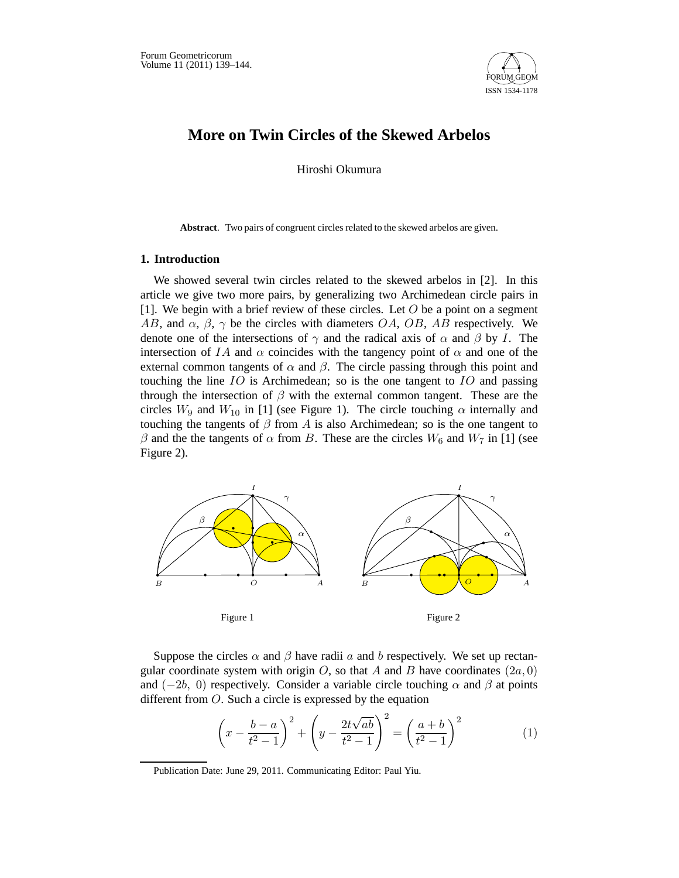

# **More on Twin Circles of the Skewed Arbelos**

Hiroshi Okumura

**Abstract**. Two pairs of congruent circles related to the skewed arbelos are given.

### **1. Introduction**

We showed several twin circles related to the skewed arbelos in [2]. In this article we give two more pairs, by generalizing two Archimedean circle pairs in [1]. We begin with a brief review of these circles. Let  $O$  be a point on a segment AB, and  $\alpha$ ,  $\beta$ ,  $\gamma$  be the circles with diameters OA, OB, AB respectively. We denote one of the intersections of  $\gamma$  and the radical axis of  $\alpha$  and  $\beta$  by I. The intersection of IA and  $\alpha$  coincides with the tangency point of  $\alpha$  and one of the external common tangents of  $\alpha$  and  $\beta$ . The circle passing through this point and touching the line IO is Archimedean; so is the one tangent to IO and passing through the intersection of  $\beta$  with the external common tangent. These are the circles  $W_9$  and  $W_{10}$  in [1] (see Figure 1). The circle touching  $\alpha$  internally and touching the tangents of  $\beta$  from A is also Archimedean; so is the one tangent to  $\beta$  and the the tangents of  $\alpha$  from B. These are the circles  $W_6$  and  $W_7$  in [1] (see Figure 2).



Suppose the circles  $\alpha$  and  $\beta$  have radii  $\alpha$  and  $\beta$  respectively. We set up rectangular coordinate system with origin  $O$ , so that A and B have coordinates  $(2a, 0)$ and ( $-2b$ , 0) respectively. Consider a variable circle touching  $\alpha$  and  $\beta$  at points different from O. Such a circle is expressed by the equation

$$
\left(x - \frac{b-a}{t^2 - 1}\right)^2 + \left(y - \frac{2t\sqrt{ab}}{t^2 - 1}\right)^2 = \left(\frac{a+b}{t^2 - 1}\right)^2\tag{1}
$$

Publication Date: June 29, 2011. Communicating Editor: Paul Yiu.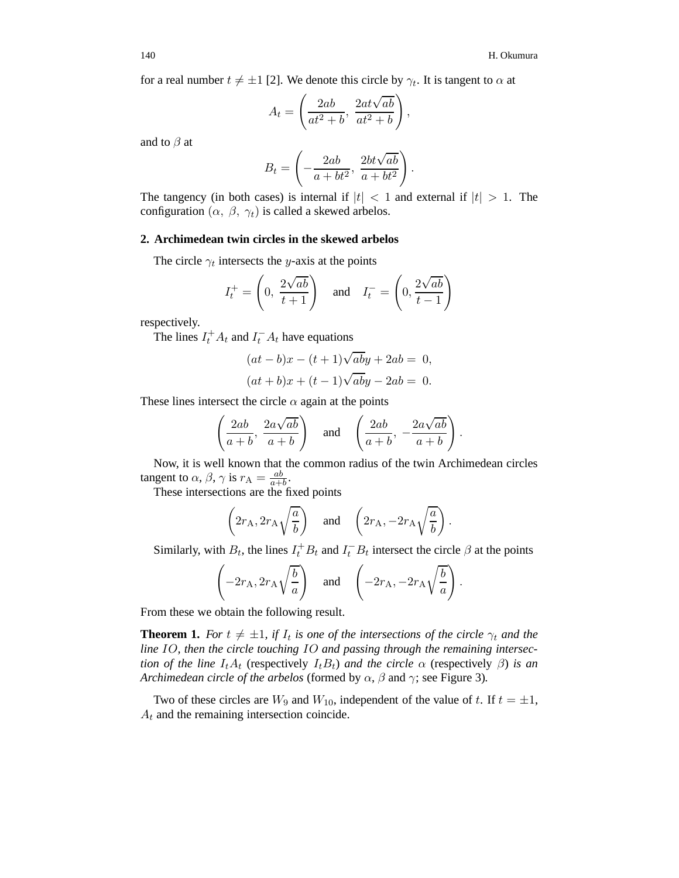for a real number  $t \neq \pm 1$  [2]. We denote this circle by  $\gamma_t$ . It is tangent to  $\alpha$  at

$$
A_t = \left(\frac{2ab}{at^2 + b}, \frac{2at\sqrt{ab}}{at^2 + b}\right),\,
$$

and to  $\beta$  at

$$
B_t = \left(-\frac{2ab}{a+bt^2}, \frac{2bt\sqrt{ab}}{a+bt^2}\right).
$$

The tangency (in both cases) is internal if  $|t| < 1$  and external if  $|t| > 1$ . The configuration  $(\alpha, \beta, \gamma_t)$  is called a skewed arbelos.

#### **2. Archimedean twin circles in the skewed arbelos**

The circle  $\gamma_t$  intersects the y-axis at the points

$$
I_t^+ = \left(0, \frac{2\sqrt{ab}}{t+1}\right) \quad \text{and} \quad I_t^- = \left(0, \frac{2\sqrt{ab}}{t-1}\right)
$$

respectively.

The lines  $I_t^+ A_t$  and  $I_t^- A_t$  have equations

$$
(at - b)x - (t+1)\sqrt{ab}y + 2ab = 0,
$$
  

$$
(at + b)x + (t-1)\sqrt{ab}y - 2ab = 0.
$$

These lines intersect the circle  $\alpha$  again at the points

$$
\left(\frac{2ab}{a+b}, \frac{2a\sqrt{ab}}{a+b}\right) \quad \text{and} \quad \left(\frac{2ab}{a+b}, -\frac{2a\sqrt{ab}}{a+b}\right)
$$

.

Now, it is well known that the common radius of the twin Archimedean circles tangent to  $\alpha$ ,  $\beta$ ,  $\gamma$  is  $r_A = \frac{ab}{a+b}$ .

These intersections are the fixed points

$$
\left(2r_A, 2r_A\sqrt{\frac{a}{b}}\right)
$$
 and  $\left(2r_A, -2r_A\sqrt{\frac{a}{b}}\right)$ .

Similarly, with  $B_t$ , the lines  $I_t^+ B_t$  and  $I_t^- B_t$  intersect the circle  $\beta$  at the points

$$
\left(-2r_A, 2r_A\sqrt{\frac{b}{a}}\right)
$$
 and  $\left(-2r_A, -2r_A\sqrt{\frac{b}{a}}\right)$ .

From these we obtain the following result.

**Theorem 1.** *For*  $t \neq \pm 1$ , *if*  $I_t$  *is one of the intersections of the circle*  $\gamma_t$  *and the line* IO*, then the circle touching* IO *and passing through the remaining intersection of the line*  $I_t A_t$  (respectively  $I_t B_t$ ) *and the circle*  $\alpha$  (respectively  $\beta$ ) *is an Archimedean circle of the arbelos* (formed by  $\alpha$ ,  $\beta$  and  $\gamma$ ; see Figure 3).

Two of these circles are  $W_9$  and  $W_{10}$ , independent of the value of t. If  $t = \pm 1$ ,  $A_t$  and the remaining intersection coincide.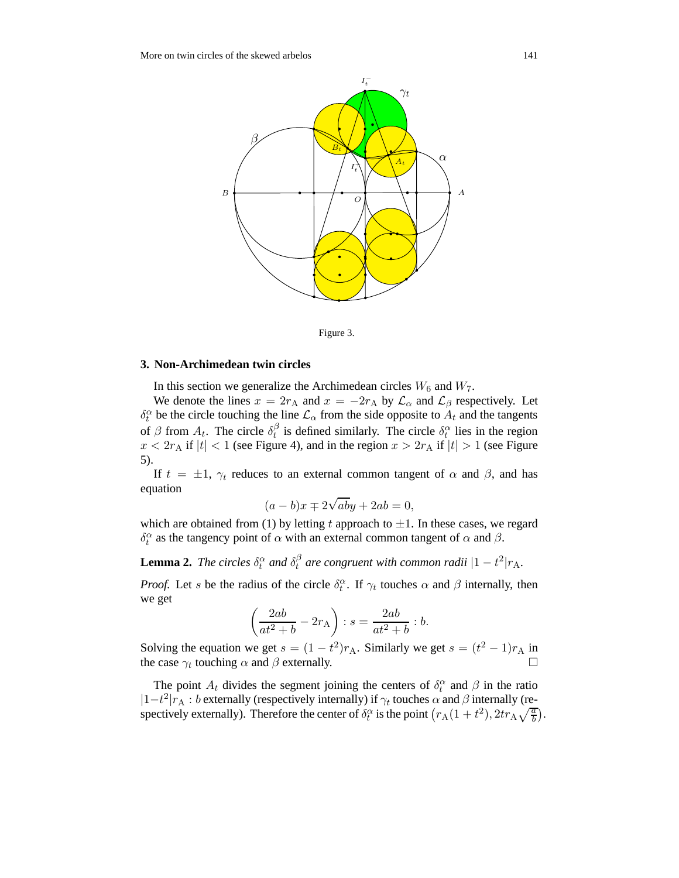



#### **3. Non-Archimedean twin circles**

In this section we generalize the Archimedean circles  $W_6$  and  $W_7$ .

We denote the lines  $x = 2r_A$  and  $x = -2r_A$  by  $\mathcal{L}_{\alpha}$  and  $\mathcal{L}_{\beta}$  respectively. Let  $\delta_t^{\alpha}$  be the circle touching the line  $\mathcal{L}_{\alpha}$  from the side opposite to  $A_t$  and the tangents of  $\beta$  from  $A_t$ . The circle  $\delta_t^{\beta}$  $t_i^{\beta}$  is defined similarly. The circle  $\delta_t^{\alpha}$  lies in the region  $x < 2r_A$  if  $|t| < 1$  (see Figure 4), and in the region  $x > 2r_A$  if  $|t| > 1$  (see Figure 5).

If  $t = \pm 1$ ,  $\gamma_t$  reduces to an external common tangent of  $\alpha$  and  $\beta$ , and has equation

$$
(a - b)x \mp 2\sqrt{ab}y + 2ab = 0,
$$

which are obtained from (1) by letting t approach to  $\pm 1$ . In these cases, we regard  $\delta_t^{\alpha}$  as the tangency point of  $\alpha$  with an external common tangent of  $\alpha$  and  $\beta$ .

**Lemma 2.** *The circles*  $\delta_t^{\alpha}$  *and*  $\delta_t^{\beta}$  $\int_t^\beta$  are congruent with common radii  $|1-t^2|r_A$ .

*Proof.* Let s be the radius of the circle  $\delta_t^{\alpha}$ . If  $\gamma_t$  touches  $\alpha$  and  $\beta$  internally, then we get

$$
\left(\frac{2ab}{at^2+b} - 2r_A\right) : s = \frac{2ab}{at^2+b} : b.
$$

Solving the equation we get  $s = (1 - t^2)r_A$ . Similarly we get  $s = (t^2 - 1)r_A$  in the case  $\gamma_t$  touching  $\alpha$  and  $\beta$  externally.

The point  $A_t$  divides the segment joining the centers of  $\delta_t^{\alpha}$  and  $\beta$  in the ratio  $|1-t^2|r_A : b$  externally (respectively internally) if  $\gamma_t$  touches  $\alpha$  and  $\beta$  internally (respectively externally). Therefore the center of  $\delta_t^{\alpha}$  is the point  $(r_A(1+t^2), 2tr_A\sqrt{\frac{a}{b}})$ .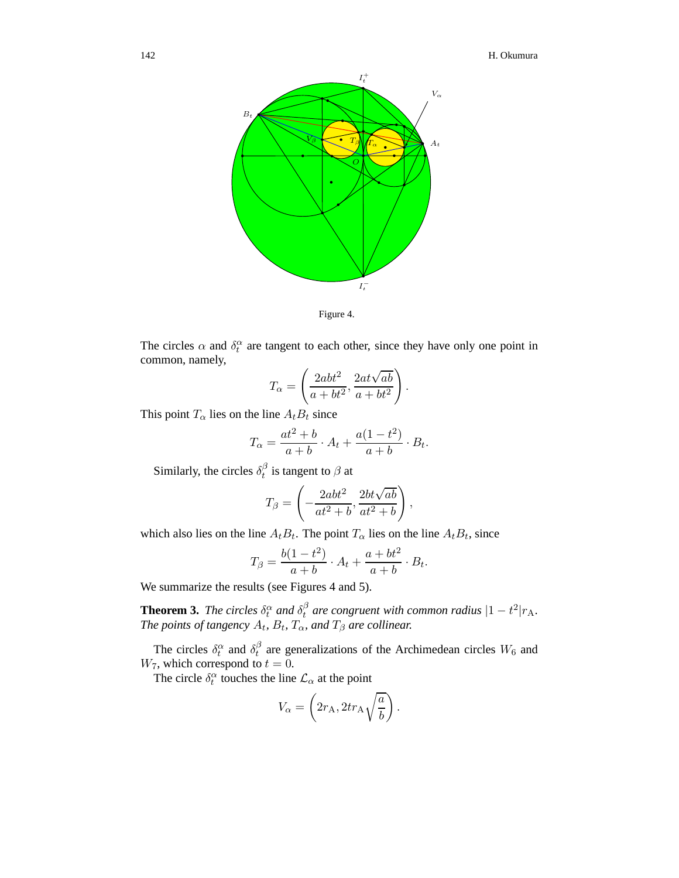

Figure 4.

The circles  $\alpha$  and  $\delta_t^{\alpha}$  are tangent to each other, since they have only one point in common, namely,

$$
T_{\alpha} = \left(\frac{2abt^2}{a + bt^2}, \frac{2at\sqrt{ab}}{a + bt^2}\right).
$$

This point  $T_{\alpha}$  lies on the line  $A_t B_t$  since

$$
T_{\alpha} = \frac{at^2 + b}{a + b} \cdot A_t + \frac{a(1 - t^2)}{a + b} \cdot B_t.
$$

Similarly, the circles  $\delta_t^{\beta}$  $t<sup>p</sup>$  is tangent to  $\beta$  at

$$
T_{\beta} = \left(-\frac{2abt^2}{at^2 + b}, \frac{2bt\sqrt{ab}}{at^2 + b}\right),\,
$$

which also lies on the line  $A_t B_t$ . The point  $T_\alpha$  lies on the line  $A_t B_t$ , since

$$
T_{\beta} = \frac{b(1 - t^2)}{a + b} \cdot A_t + \frac{a + bt^2}{a + b} \cdot B_t.
$$

We summarize the results (see Figures 4 and 5).

**Theorem 3.** *The circles*  $\delta_t^{\alpha}$  *and*  $\delta_t^{\beta}$  $t<sup>\beta</sup>$  are congruent with common radius  $|1-t^2|r_A$ . *The points of tangency*  $A_t$ ,  $B_t$ ,  $T_\alpha$ , and  $T_\beta$  are collinear.

The circles  $\delta_t^{\alpha}$  and  $\delta_t^{\beta}$  $t<sub>t</sub><sup>0</sup>$  are generalizations of the Archimedean circles  $W_6$  and  $W_7$ , which correspond to  $t = 0$ .

The circle  $\delta_t^{\alpha}$  touches the line  $\mathcal{L}_{\alpha}$  at the point

$$
V_{\alpha} = \left(2r_{\rm A}, 2tr_{\rm A}\sqrt{\frac{a}{b}}\right).
$$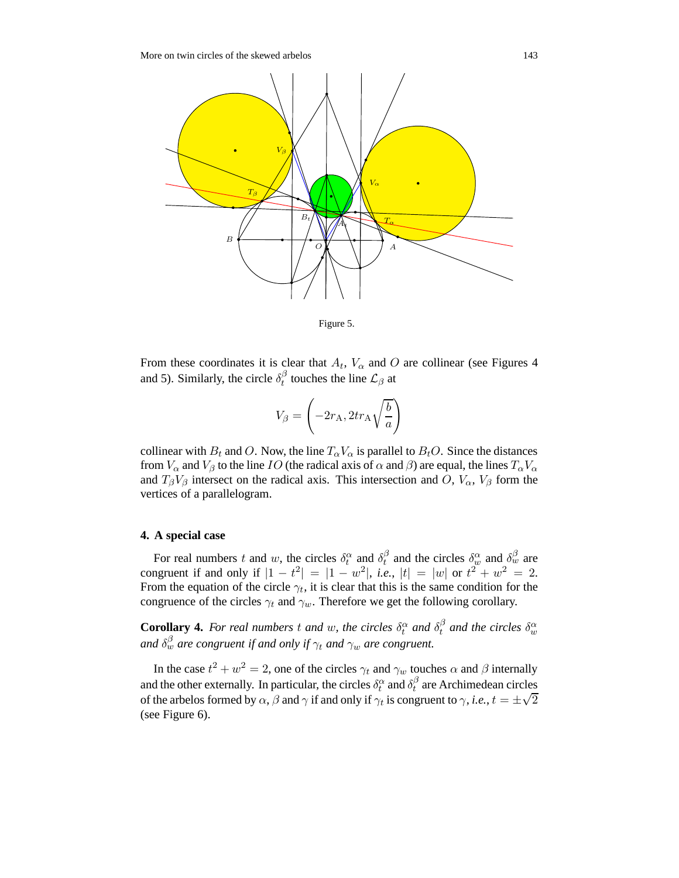

Figure 5.

From these coordinates it is clear that  $A_t$ ,  $V_\alpha$  and O are collinear (see Figures 4 and 5). Similarly, the circle  $\delta_t^{\beta}$  $t<sup>β</sup>$  touches the line  $\mathcal{L}_β$  at

$$
V_{\beta} = \left(-2r_{\rm A}, 2tr_{\rm A}\sqrt{\frac{b}{a}}\right)
$$

collinear with  $B_t$  and O. Now, the line  $T_\alpha V_\alpha$  is parallel to  $B_tO$ . Since the distances from  $V_\alpha$  and  $V_\beta$  to the line IO (the radical axis of  $\alpha$  and  $\beta$ ) are equal, the lines  $T_\alpha V_\alpha$ and  $T_{\beta}V_{\beta}$  intersect on the radical axis. This intersection and O,  $V_{\alpha}$ ,  $V_{\beta}$  form the vertices of a parallelogram.

#### **4. A special case**

For real numbers t and w, the circles  $\delta_t^{\alpha}$  and  $\delta_t^{\beta}$  $\delta_t^{\beta}$  and the circles  $\delta_w^{\alpha}$  and  $\delta_w^{\beta}$  are congruent if and only if  $|1 - t^2| = |1 - w^2|$ , *i.e.*,  $|t| = |w|$  or  $t^2 + w^2 = 2$ . From the equation of the circle  $\gamma_t$ , it is clear that this is the same condition for the congruence of the circles  $\gamma_t$  and  $\gamma_w$ . Therefore we get the following corollary.

**Corollary 4.** For real numbers t and w, the circles  $\delta_t^{\alpha}$  and  $\delta_t^{\beta}$  $t<sup>\beta</sup>$  and the circles  $\delta^{\alpha}_w$ and  $\delta_w^\beta$  are congruent if and only if  $\gamma_t$  and  $\gamma_w$  are congruent.

In the case  $t^2 + w^2 = 2$ , one of the circles  $\gamma_t$  and  $\gamma_w$  touches  $\alpha$  and  $\beta$  internally and the other externally. In particular, the circles  $\delta_t^{\alpha}$  and  $\delta_t^{\beta}$  $t<sub>t</sub><sup>p</sup>$  are Archimedean circles of the arbelos formed by  $\alpha$ ,  $\beta$  and  $\gamma$  if and only if  $\gamma_t$  is congruent to  $\gamma$ , *i.e.*,  $t = \pm \sqrt{2}$ (see Figure 6).